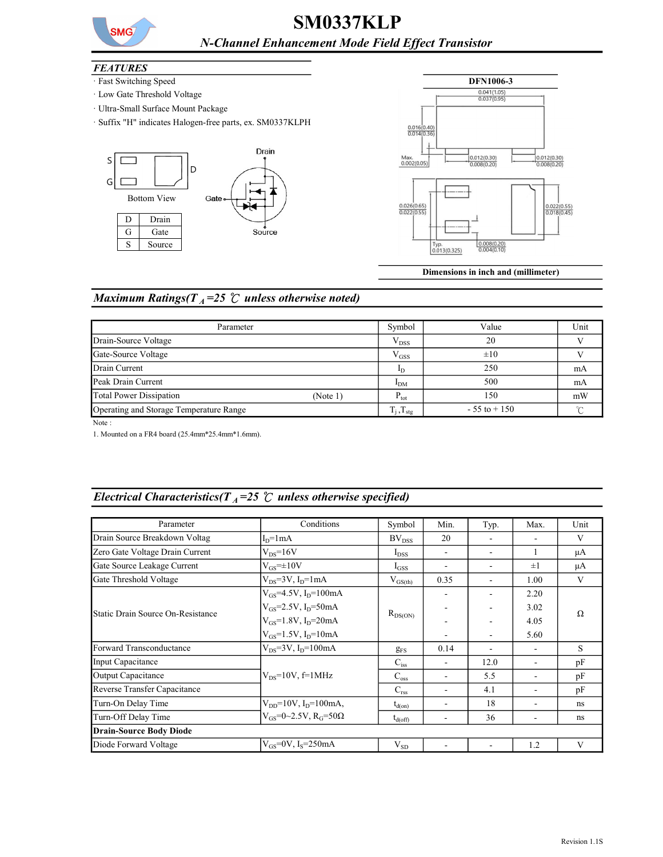

## SM0337KLP N-Channel Enhancement Mode Field Effect Transistor

#### **FEATURES**

- · Fast Switching Speed
- · Low Gate Threshold Voltage
- · Ultra-Small Surface Mount Package
- · Suffix "H" indicates Halogen-free parts, ex. SM0337KLPH





Dimensions in inch and (millimeter)

#### Maximum Ratings( $T_A$ =25  $\degree$ C unless otherwise noted)

| Parameter                               |          | Symbol                   | Value           | Unit   |
|-----------------------------------------|----------|--------------------------|-----------------|--------|
| Drain-Source Voltage                    |          | $V_{DSS}$                | 20              |        |
| Gate-Source Voltage                     |          | $V$ <sub>GSS</sub>       | $\pm 10$        |        |
| Drain Current                           |          | 1 <sub>D</sub>           | 250             | mA     |
| Peak Drain Current                      |          | I <sub>DM</sub>          | 500             | mA     |
| Total Power Dissipation                 | (Note 1) | $P_{\text{tot}}$         | 150             | mW     |
| Operating and Storage Temperature Range |          | $T_j$ , $T_{\text{stg}}$ | $-55$ to $+150$ | $\sim$ |

Note :

1. Mounted on a FR4 board (25.4mm\*25.4mm\*1.6mm).

# Electrical Characteristics( $T_A$ =25  $\degree$ C unless otherwise specified)

| Parameter                         | Conditions                                  | Symbol              | Min. | Typ. | Max.                     | Unit |
|-----------------------------------|---------------------------------------------|---------------------|------|------|--------------------------|------|
| Drain Source Breakdown Voltag     | $ID=1mA$                                    | $BV_{DSS}$          | 20   |      |                          | V    |
| Zero Gate Voltage Drain Current   | $V_{DS} = 16V$                              | $I_{DSS}$           |      | ٠    | $\mathbf{1}$             | μA   |
| Gate Source Leakage Current       | $V_{GS}=\pm 10V$                            | $I_{GSS}$           |      | ۰    | $\pm 1$                  | μA   |
| Gate Threshold Voltage            | $V_{DS} = 3V$ , $I_D = 1mA$                 | $V_{GS(th)}$        | 0.35 |      | 1.00                     | V    |
| Static Drain Source On-Resistance | $V_{GS}$ =4.5V, I <sub>D</sub> =100mA       |                     |      |      | 2.20                     | Ω    |
|                                   | $V_{GS}$ =2.5V, I <sub>D</sub> =50mA        |                     |      |      | 3.02                     |      |
|                                   | $V_{GS}$ =1.8V, I <sub>D</sub> =20mA        | $R_{DS(ON)}$        |      |      | 4.05                     |      |
|                                   | $V_{GS}$ =1.5V, I <sub>p</sub> =10mA        |                     |      |      | 5.60                     |      |
| Forward Transconductance          | $V_{DS} = 3V$ , I <sub>D</sub> =100mA       | $g_{FS}$            | 0.14 |      | $\overline{\phantom{a}}$ | S    |
| Input Capacitance                 |                                             | $C_{iss}$           |      | 12.0 |                          | pF   |
| Output Capacitance                | $V_{DS}$ =10V, f=1MHz                       | $C_{\rm oss}$       |      | 5.5  |                          | pF   |
| Reverse Transfer Capacitance      |                                             | $C_{\rm rss}$       |      | 4.1  |                          | pF   |
| Turn-On Delay Time                | $V_{DD} = 10V$ , $I_D = 100$ mA,            | $t_{d(on)}$         |      | 18   |                          | ns   |
| Turn-Off Delay Time               | $V_{GS} = 0 \sim 2.5 V$ , $R_G = 50 \Omega$ | $t_{\text{d(off)}}$ |      | 36   |                          | ns   |
| <b>Drain-Source Body Diode</b>    |                                             |                     |      |      |                          |      |
| Diode Forward Voltage             | $V_{GS} = 0V$ , I <sub>s</sub> =250mA       | $V_{SD}$            |      |      | 1.2                      | V    |